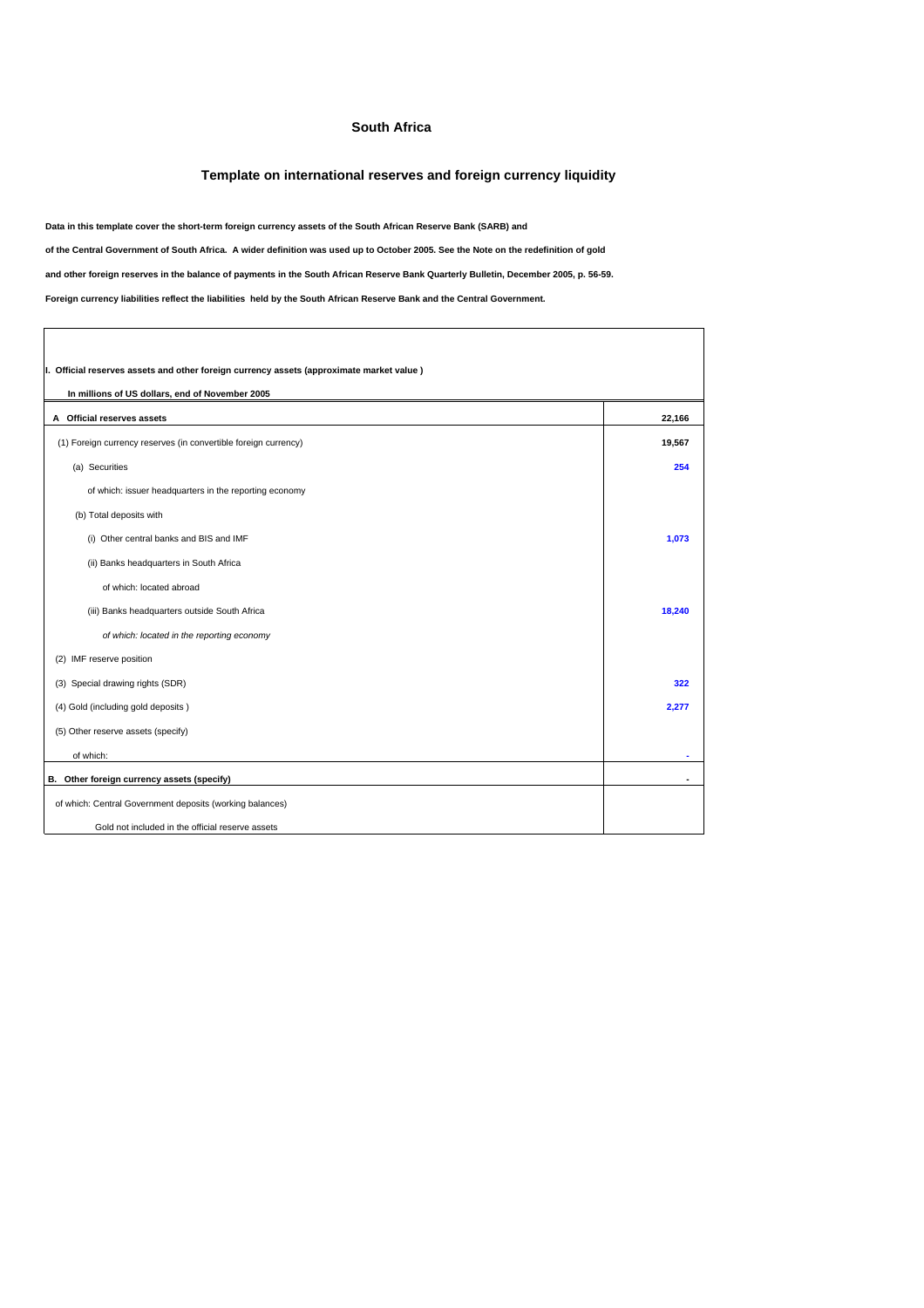## **South Africa**

## **Template on international reserves and foreign currency liquidity**

٦

**Data in this template cover the short-term foreign currency assets of the South African Reserve Bank (SARB) and**

**of the Central Government of South Africa. A wider definition was used up to October 2005. See the Note on the redefinition of gold**

**and other foreign reserves in the balance of payments in the South African Reserve Bank Quarterly Bulletin, December 2005, p. 56-59.**

**Foreign currency liabilities reflect the liabilities held by the South African Reserve Bank and the Central Government.**

 $\lceil$ 

| I. Official reserves assets and other foreign currency assets (approximate market value)<br>In millions of US dollars, end of November 2005 |                |  |  |
|---------------------------------------------------------------------------------------------------------------------------------------------|----------------|--|--|
| A Official reserves assets                                                                                                                  | 22,166         |  |  |
| (1) Foreign currency reserves (in convertible foreign currency)                                                                             | 19,567         |  |  |
| (a) Securities                                                                                                                              | 254            |  |  |
| of which: issuer headquarters in the reporting economy                                                                                      |                |  |  |
| (b) Total deposits with                                                                                                                     |                |  |  |
| (i) Other central banks and BIS and IMF                                                                                                     | 1,073          |  |  |
| (ii) Banks headquarters in South Africa                                                                                                     |                |  |  |
| of which: located abroad                                                                                                                    |                |  |  |
| (iii) Banks headquarters outside South Africa                                                                                               | 18,240         |  |  |
| of which: located in the reporting economy                                                                                                  |                |  |  |
| (2) IMF reserve position                                                                                                                    |                |  |  |
| (3) Special drawing rights (SDR)                                                                                                            | 322            |  |  |
| (4) Gold (including gold deposits)                                                                                                          | 2,277          |  |  |
| (5) Other reserve assets (specify)                                                                                                          |                |  |  |
| of which:                                                                                                                                   | $\blacksquare$ |  |  |
| B. Other foreign currency assets (specify)                                                                                                  |                |  |  |
| of which: Central Government deposits (working balances)                                                                                    |                |  |  |
| Gold not included in the official reserve assets                                                                                            |                |  |  |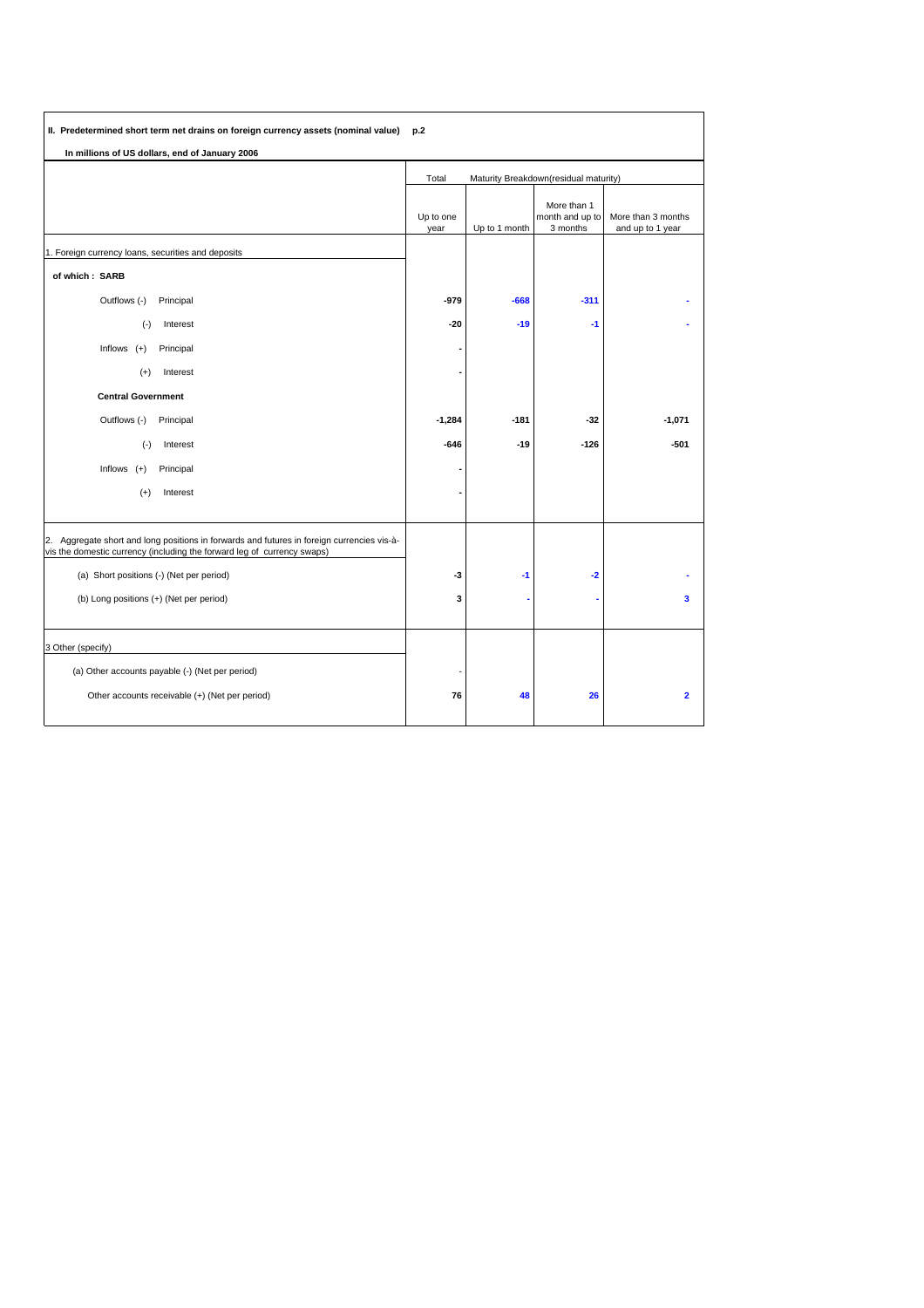| II. Predetermined short term net drains on foreign currency assets (nominal value) p.2                                                                                |                                                |               |                                            |                                        |
|-----------------------------------------------------------------------------------------------------------------------------------------------------------------------|------------------------------------------------|---------------|--------------------------------------------|----------------------------------------|
| In millions of US dollars, end of January 2006                                                                                                                        |                                                |               |                                            |                                        |
|                                                                                                                                                                       | Total<br>Maturity Breakdown(residual maturity) |               |                                            |                                        |
|                                                                                                                                                                       | Up to one<br>year                              | Up to 1 month | More than 1<br>month and up to<br>3 months | More than 3 months<br>and up to 1 year |
| 1. Foreign currency loans, securities and deposits                                                                                                                    |                                                |               |                                            |                                        |
| of which: SARB                                                                                                                                                        |                                                |               |                                            |                                        |
| Outflows (-)<br>Principal                                                                                                                                             | $-979$                                         | $-668$        | $-311$                                     |                                        |
| Interest<br>$(\cdot)$                                                                                                                                                 | $-20$                                          | $-19$         | $-1$                                       |                                        |
| Inflows $(+)$<br>Principal                                                                                                                                            |                                                |               |                                            |                                        |
| Interest<br>$^{(+)}$                                                                                                                                                  |                                                |               |                                            |                                        |
| <b>Central Government</b>                                                                                                                                             |                                                |               |                                            |                                        |
| Outflows (-)<br>Principal                                                                                                                                             | $-1,284$                                       | $-181$        | $-32$                                      | $-1,071$                               |
| $(\cdot)$<br>Interest                                                                                                                                                 | $-646$                                         | $-19$         | $-126$                                     | $-501$                                 |
| Inflows<br>Principal<br>$^{(+)}$                                                                                                                                      |                                                |               |                                            |                                        |
| $(+)$<br>Interest                                                                                                                                                     |                                                |               |                                            |                                        |
| 2. Aggregate short and long positions in forwards and futures in foreign currencies vis-à-<br>vis the domestic currency (including the forward leg of currency swaps) |                                                |               |                                            |                                        |
| (a) Short positions (-) (Net per period)                                                                                                                              | -3                                             | $-1$          | $-2$                                       |                                        |
| (b) Long positions (+) (Net per period)                                                                                                                               | 3                                              |               |                                            | 3                                      |
| 3 Other (specify)                                                                                                                                                     |                                                |               |                                            |                                        |
| (a) Other accounts payable (-) (Net per period)                                                                                                                       |                                                |               |                                            |                                        |
| Other accounts receivable (+) (Net per period)                                                                                                                        | 76                                             | 48            | 26                                         | $\overline{2}$                         |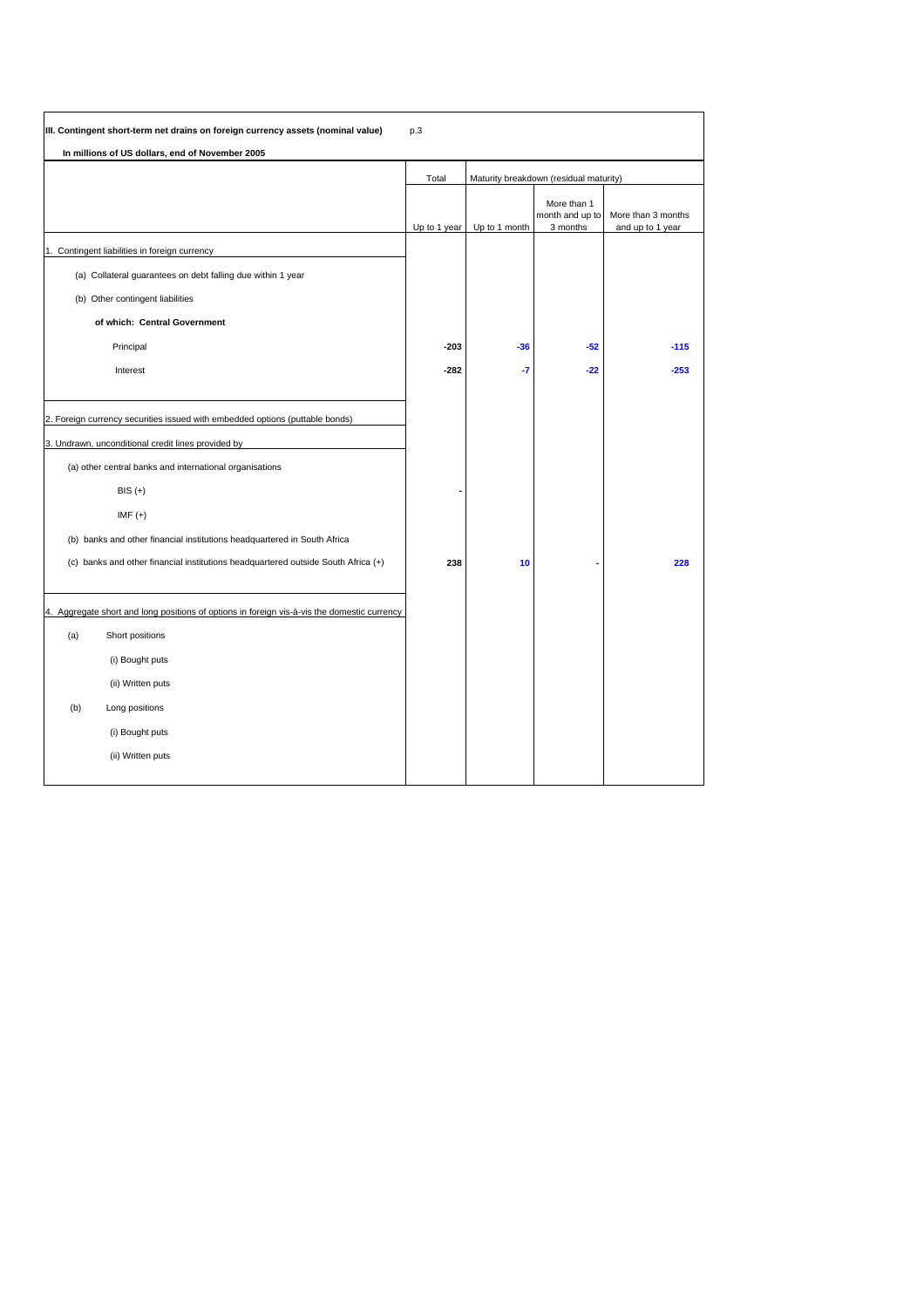|     | III. Contingent short-term net drains on foreign currency assets (nominal value)            | p.3          |               |                                            |                                        |
|-----|---------------------------------------------------------------------------------------------|--------------|---------------|--------------------------------------------|----------------------------------------|
|     | In millions of US dollars, end of November 2005                                             |              |               |                                            |                                        |
|     |                                                                                             | Total        |               | Maturity breakdown (residual maturity)     |                                        |
|     |                                                                                             | Up to 1 year | Up to 1 month | More than 1<br>month and up to<br>3 months | More than 3 months<br>and up to 1 year |
|     | 1. Contingent liabilities in foreign currency                                               |              |               |                                            |                                        |
|     | (a) Collateral guarantees on debt falling due within 1 year                                 |              |               |                                            |                                        |
|     | (b) Other contingent liabilities                                                            |              |               |                                            |                                        |
|     | of which: Central Government                                                                |              |               |                                            |                                        |
|     | Principal                                                                                   | $-203$       | $-36$         | $-52$                                      | $-115$                                 |
|     | Interest                                                                                    | $-282$       | -7            | $-22$                                      | $-253$                                 |
|     |                                                                                             |              |               |                                            |                                        |
|     | 2. Foreign currency securities issued with embedded options (puttable bonds)                |              |               |                                            |                                        |
|     | 3. Undrawn, unconditional credit lines provided by                                          |              |               |                                            |                                        |
|     | (a) other central banks and international organisations                                     |              |               |                                            |                                        |
|     | $BIS (+)$                                                                                   |              |               |                                            |                                        |
|     | $IMF (+)$                                                                                   |              |               |                                            |                                        |
|     | (b) banks and other financial institutions headquartered in South Africa                    |              |               |                                            |                                        |
|     | (c) banks and other financial institutions headquartered outside South Africa (+)           | 238          | 10            |                                            | 228                                    |
|     |                                                                                             |              |               |                                            |                                        |
|     | 4. Aggregate short and long positions of options in foreign vis-à-vis the domestic currency |              |               |                                            |                                        |
| (a) | Short positions                                                                             |              |               |                                            |                                        |
|     | (i) Bought puts                                                                             |              |               |                                            |                                        |
|     | (ii) Written puts                                                                           |              |               |                                            |                                        |
| (b) | Long positions                                                                              |              |               |                                            |                                        |
|     | (i) Bought puts                                                                             |              |               |                                            |                                        |
|     | (ii) Written puts                                                                           |              |               |                                            |                                        |
|     |                                                                                             |              |               |                                            |                                        |